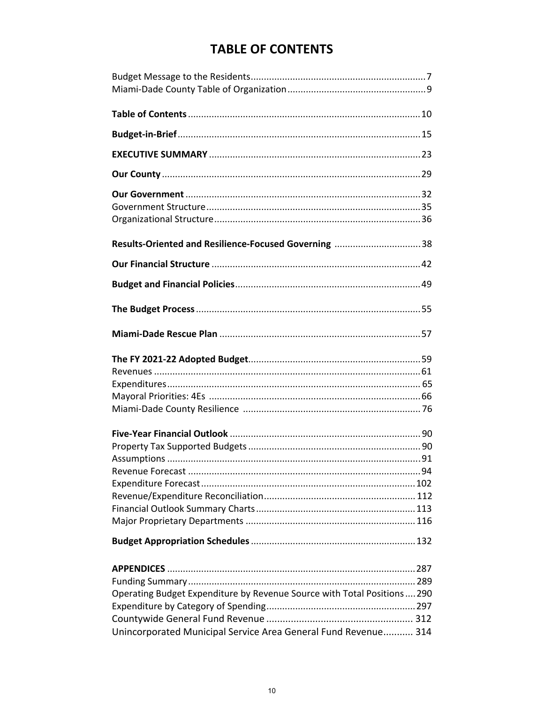## **TABLE OF CONTENTS**

| Results-Oriented and Resilience-Focused Governing 38                                                                                     |
|------------------------------------------------------------------------------------------------------------------------------------------|
|                                                                                                                                          |
|                                                                                                                                          |
|                                                                                                                                          |
|                                                                                                                                          |
|                                                                                                                                          |
|                                                                                                                                          |
|                                                                                                                                          |
| Operating Budget Expenditure by Revenue Source with Total Positions290<br>Unincorporated Municipal Service Area General Fund Revenue 314 |